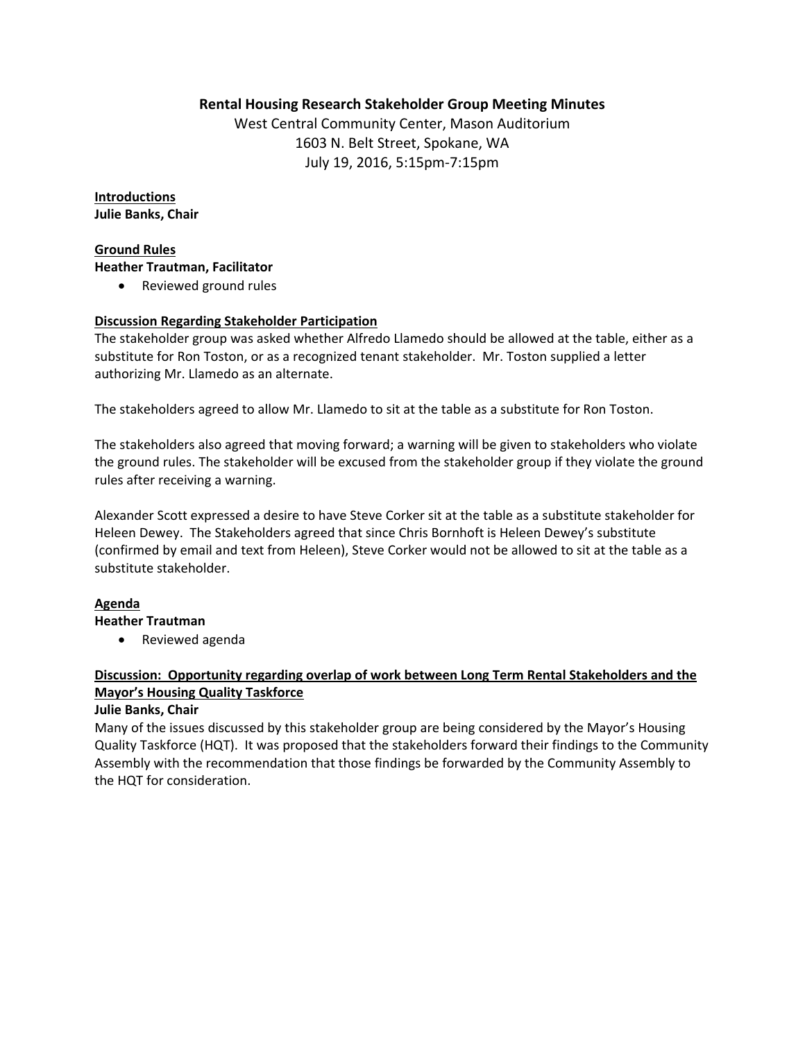## **Rental Housing Research Stakeholder Group Meeting Minutes**

West Central Community Center, Mason Auditorium 1603 N. Belt Street, Spokane, WA July 19, 2016, 5:15pm‐7:15pm

**Introductions Julie Banks, Chair**

### **Ground Rules**

#### **Heather Trautman, Facilitator**

Reviewed ground rules

## **Discussion Regarding Stakeholder Participation**

The stakeholder group was asked whether Alfredo Llamedo should be allowed at the table, either as a substitute for Ron Toston, or as a recognized tenant stakeholder. Mr. Toston supplied a letter authorizing Mr. Llamedo as an alternate.

The stakeholders agreed to allow Mr. Llamedo to sit at the table as a substitute for Ron Toston.

The stakeholders also agreed that moving forward; a warning will be given to stakeholders who violate the ground rules. The stakeholder will be excused from the stakeholder group if they violate the ground rules after receiving a warning.

Alexander Scott expressed a desire to have Steve Corker sit at the table as a substitute stakeholder for Heleen Dewey. The Stakeholders agreed that since Chris Bornhoft is Heleen Dewey's substitute (confirmed by email and text from Heleen), Steve Corker would not be allowed to sit at the table as a substitute stakeholder.

## **Agenda**

### **Heather Trautman**

Reviewed agenda

# **Discussion: Opportunity regarding overlap of work between Long Term Rental Stakeholders and the Mayor's Housing Quality Taskforce**

### **Julie Banks, Chair**

Many of the issues discussed by this stakeholder group are being considered by the Mayor's Housing Quality Taskforce (HQT). It was proposed that the stakeholders forward their findings to the Community Assembly with the recommendation that those findings be forwarded by the Community Assembly to the HQT for consideration.